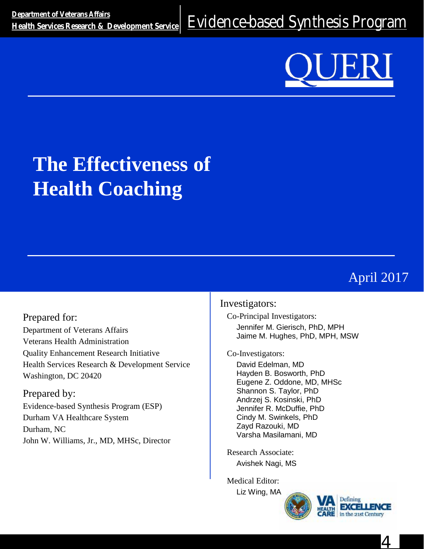<u>Department of Veterans Alians</u><br>[Health Services Research & Development Service](http://www.hsrd.research.va.gov/) EVidence-based Synthesis Program

# **The Effectiveness of Health Coaching**

# April 2017

Prepared for: Department of Veterans Affairs Veterans Health Administration Quality Enhancement Research Initiative Health Services Research & Development Service Washington, DC 20420

Prepared by: Evidence-based Synthesis Program (ESP) Durham VA Healthcare System Durham, NC John W. Williams, Jr., MD, MHSc, Director

### Investigators:

Co-Principal Investigators: Jennifer M. Gierisch, PhD, MPH Jaime M. Hughes, PhD, MPH, MSW

#### Co-Investigators:

David Edelman, MD Hayden B. Bosworth, PhD Eugene Z. Oddone, MD, MHSc Shannon S. Taylor, PhD Andrzej S. Kosinski, PhD Jennifer R. McDuffie, PhD Cindy M. Swinkels, PhD Zayd Razouki, MD Varsha Masilamani, MD

Research Associate: Avishek Nagi, MS

Medical Editor:

Liz Wing, M[A](http://www.va.gov/health/)





4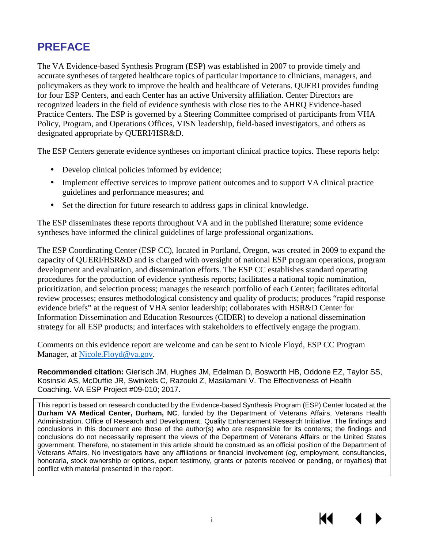# **PREFACE**

The VA Evidence-based Synthesis Program (ESP) was established in 2007 to provide timely and accurate syntheses of targeted healthcare topics of particular importance to clinicians, managers, and policymakers as they work to improve the health and healthcare of Veterans. QUERI provides funding for four ESP Centers, and each Center has an active University affiliation. Center Directors are recognized leaders in the field of evidence synthesis with close ties to the AHRQ Evidence-based Practice Centers. The ESP is governed by a Steering Committee comprised of participants from VHA Policy, Program, and Operations Offices, VISN leadership, field-based investigators, and others as designated appropriate by QUERI/HSR&D.

The ESP Centers generate evidence syntheses on important clinical practice topics. These reports help:

- Develop clinical policies informed by evidence;  $\mathbf{r}$
- Implement effective services to improve patient outcomes and to support VA clinical practice guidelines and performance measures; and
- Set the direction for future research to address gaps in clinical knowledge.

The ESP disseminates these reports throughout VA and in the published literature; some evidence syntheses have informed the clinical guidelines of large professional organizations.

The ESP Coordinating Center (ESP CC), located in Portland, Oregon, was created in 2009 to expand the capacity of QUERI/HSR&D and is charged with oversight of national ESP program operations, program development and evaluation, and dissemination efforts. The ESP CC establishes standard operating procedures for the production of evidence synthesis reports; facilitates a national topic nomination, prioritization, and selection process; manages the research portfolio of each Center; facilitates editorial review processes; ensures methodological consistency and quality of products; produces "rapid response evidence briefs" at the request of VHA senior leadership; collaborates with HSR&D Center for Information Dissemination and Education Resources (CIDER) to develop a national dissemination strategy for all ESP products; and interfaces with stakeholders to effectively engage the program.

Comments on this evidence report are welcome and can be sent to Nicole Floyd, ESP CC Program Manager, at [Nicole.Floyd@va.gov.](mailto:Nicole.Floyd@va.gov)

**Recommended citation:** Gierisch JM, Hughes JM, Edelman D, Bosworth HB, Oddone EZ, Taylor SS, Kosinski AS, McDuffie JR, Swinkels C, Razouki Z, Masilamani V. The Effectiveness of Health Coaching**.** VA ESP Project #09-010; 2017.

This report is based on research conducted by the Evidence-based Synthesis Program (ESP) Center located at the **Durham VA Medical Center, Durham, NC**, funded by the Department of Veterans Affairs, Veterans Health Administration, Office of Research and Development, Quality Enhancement Research Initiative. The findings and conclusions in this document are those of the author(s) who are responsible for its contents; the findings and conclusions do not necessarily represent the views of the Department of Veterans Affairs or the United States government. Therefore, no statement in this article should be construed as an official position of the Department of Veterans Affairs. No investigators have any affiliations or financial involvement (*eg*, employment, consultancies, honoraria, stock ownership or options, expert testimony, grants or patents received or pending, or royalties) that conflict with material presented in the report.

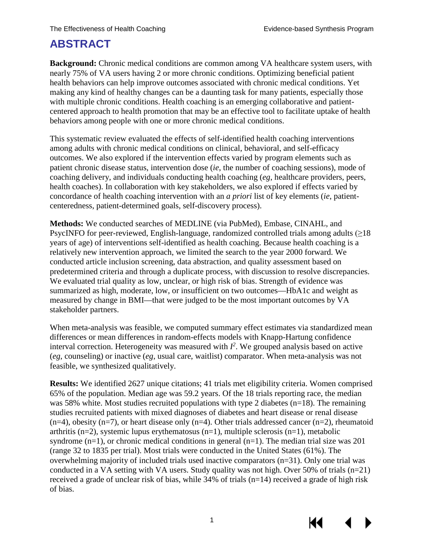## **ABSTRACT**

**Background:** Chronic medical conditions are common among VA healthcare system users, with nearly 75% of VA users having 2 or more chronic conditions. Optimizing beneficial patient health behaviors can help improve outcomes associated with chronic medical conditions. Yet making any kind of healthy changes can be a daunting task for many patients, especially those with multiple chronic conditions. Health coaching is an emerging collaborative and patientcentered approach to health promotion that may be an effective tool to facilitate uptake of health behaviors among people with one or more chronic medical conditions.

This systematic review evaluated the effects of self-identified health coaching interventions among adults with chronic medical conditions on clinical, behavioral, and self-efficacy outcomes. We also explored if the intervention effects varied by program elements such as patient chronic disease status, intervention dose (*ie*, the number of coaching sessions), mode of coaching delivery, and individuals conducting health coaching (*eg*, healthcare providers, peers, health coaches). In collaboration with key stakeholders, we also explored if effects varied by concordance of health coaching intervention with an *a priori* list of key elements (*ie*, patientcenteredness, patient-determined goals, self-discovery process).

**Methods:** We conducted searches of MEDLINE (via PubMed), Embase, CINAHL, and PsycINFO for peer-reviewed, English-language, randomized controlled trials among adults  $(\geq 18)$ years of age) of interventions self-identified as health coaching. Because health coaching is a relatively new intervention approach, we limited the search to the year 2000 forward. We conducted article inclusion screening, data abstraction, and quality assessment based on predetermined criteria and through a duplicate process, with discussion to resolve discrepancies. We evaluated trial quality as low, unclear, or high risk of bias. Strength of evidence was summarized as high, moderate, low, or insufficient on two outcomes—HbA1c and weight as measured by change in BMI—that were judged to be the most important outcomes by VA stakeholder partners.

When meta-analysis was feasible, we computed summary effect estimates via standardized mean differences or mean differences in random-effects models with Knapp-Hartung confidence interval correction. Heterogeneity was measured with  $I^2$ . We grouped analysis based on active (*eg*, counseling) or inactive (*eg*, usual care, waitlist) comparator. When meta-analysis was not feasible, we synthesized qualitatively.

**Results:** We identified 2627 unique citations; 41 trials met eligibility criteria. Women comprised 65% of the population. Median age was 59.2 years. Of the 18 trials reporting race, the median was 58% white. Most studies recruited populations with type 2 diabetes (n=18). The remaining studies recruited patients with mixed diagnoses of diabetes and heart disease or renal disease  $(n=4)$ , obesity  $(n=7)$ , or heart disease only  $(n=4)$ . Other trials addressed cancer  $(n=2)$ , rheumatoid arthritis (n=2), systemic lupus erythematosus (n=1), multiple sclerosis (n=1), metabolic syndrome  $(n=1)$ , or chronic medical conditions in general  $(n=1)$ . The median trial size was 201 (range 32 to 1835 per trial). Most trials were conducted in the United States (61%). The overwhelming majority of included trials used inactive comparators (n=31). Only one trial was conducted in a VA setting with VA users. Study quality was not high. Over 50% of trials (n=21) received a grade of unclear risk of bias, while  $34\%$  of trials (n=14) received a grade of high risk of bias.